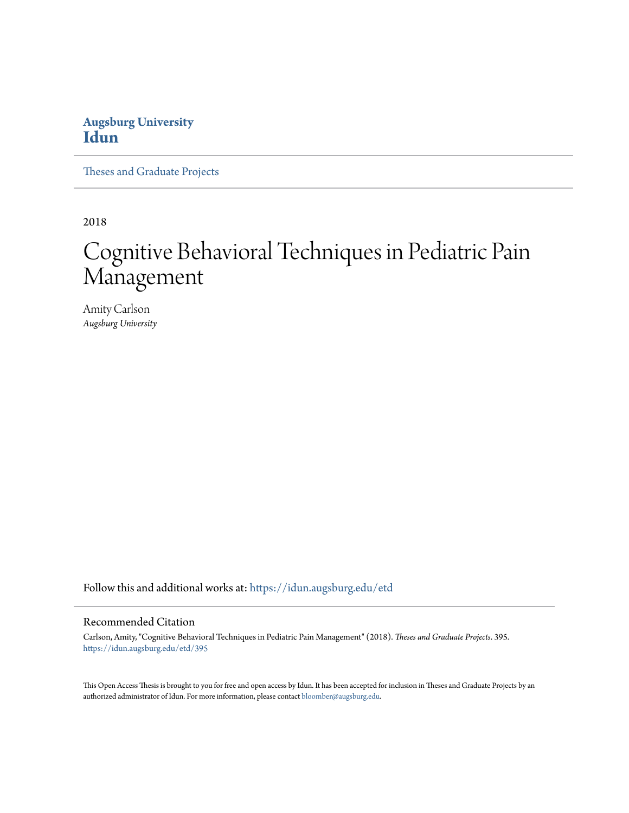## **Augsburg University [Idun](https://idun.augsburg.edu?utm_source=idun.augsburg.edu%2Fetd%2F395&utm_medium=PDF&utm_campaign=PDFCoverPages)**

[Theses and Graduate Projects](https://idun.augsburg.edu/etd?utm_source=idun.augsburg.edu%2Fetd%2F395&utm_medium=PDF&utm_campaign=PDFCoverPages)

2018

# Cognitive Behavioral Techniques in Pediatric Pain Management

Amity Carlson *Augsburg University*

Follow this and additional works at: [https://idun.augsburg.edu/etd](https://idun.augsburg.edu/etd?utm_source=idun.augsburg.edu%2Fetd%2F395&utm_medium=PDF&utm_campaign=PDFCoverPages)

#### Recommended Citation

Carlson, Amity, "Cognitive Behavioral Techniques in Pediatric Pain Management" (2018). *Theses and Graduate Projects*. 395. [https://idun.augsburg.edu/etd/395](https://idun.augsburg.edu/etd/395?utm_source=idun.augsburg.edu%2Fetd%2F395&utm_medium=PDF&utm_campaign=PDFCoverPages)

This Open Access Thesis is brought to you for free and open access by Idun. It has been accepted for inclusion in Theses and Graduate Projects by an authorized administrator of Idun. For more information, please contact [bloomber@augsburg.edu.](mailto:bloomber@augsburg.edu)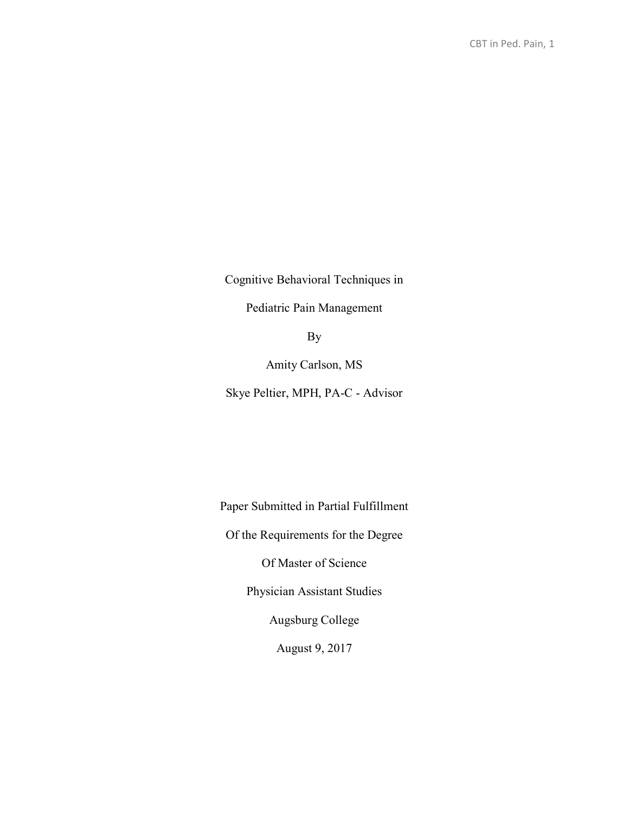Cognitive Behavioral Techniques in

Pediatric Pain Management

By

Amity Carlson, MS

Skye Peltier, MPH, PA-C - Advisor

Paper Submitted in Partial Fulfillment Of the Requirements for the Degree Of Master of Science Physician Assistant Studies Augsburg College August 9, 2017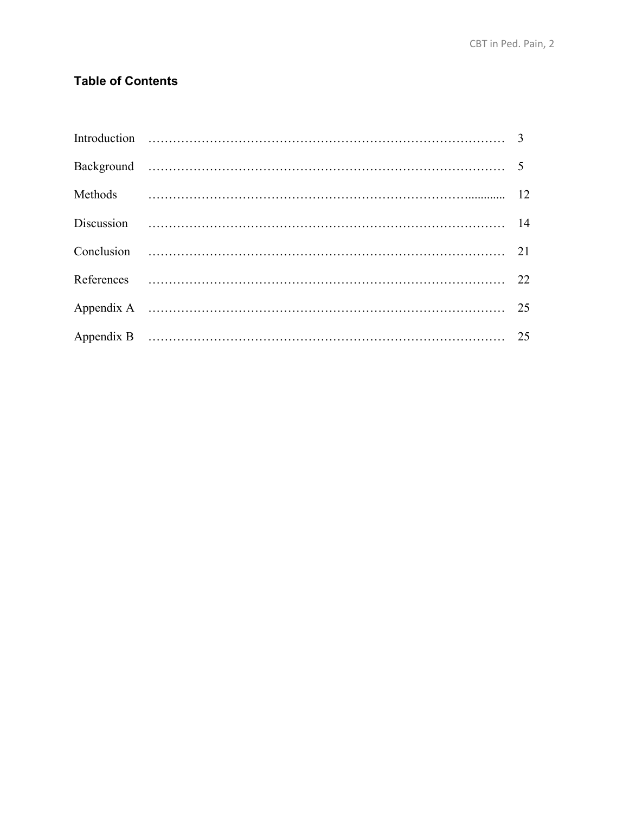# **Table of Contents**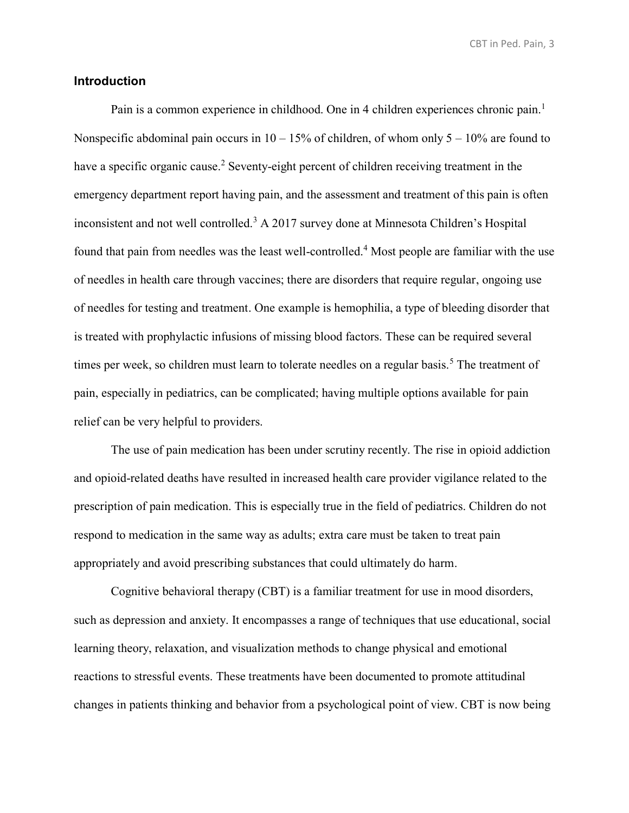#### **Introduction**

Pain is a common experience in childhood. One in 4 children experiences chronic pain.<sup>1</sup> Nonspecific abdominal pain occurs in  $10 - 15\%$  of children, of whom only  $5 - 10\%$  are found to have a specific organic cause.<sup>2</sup> Seventy-eight percent of children receiving treatment in the emergency department report having pain, and the assessment and treatment of this pain is often inconsistent and not well controlled.<sup>3</sup> A 2017 survey done at Minnesota Children's Hospital found that pain from needles was the least well-controlled.<sup>4</sup> Most people are familiar with the use of needles in health care through vaccines; there are disorders that require regular, ongoing use of needles for testing and treatment. One example is hemophilia, a type of bleeding disorder that is treated with prophylactic infusions of missing blood factors. These can be required several times per week, so children must learn to tolerate needles on a regular basis.<sup>5</sup> The treatment of pain, especially in pediatrics, can be complicated; having multiple options available for pain relief can be very helpful to providers.

The use of pain medication has been under scrutiny recently. The rise in opioid addiction and opioid-related deaths have resulted in increased health care provider vigilance related to the prescription of pain medication. This is especially true in the field of pediatrics. Children do not respond to medication in the same way as adults; extra care must be taken to treat pain appropriately and avoid prescribing substances that could ultimately do harm.

Cognitive behavioral therapy (CBT) is a familiar treatment for use in mood disorders, such as depression and anxiety. It encompasses a range of techniques that use educational, social learning theory, relaxation, and visualization methods to change physical and emotional reactions to stressful events. These treatments have been documented to promote attitudinal changes in patients thinking and behavior from a psychological point of view. CBT is now being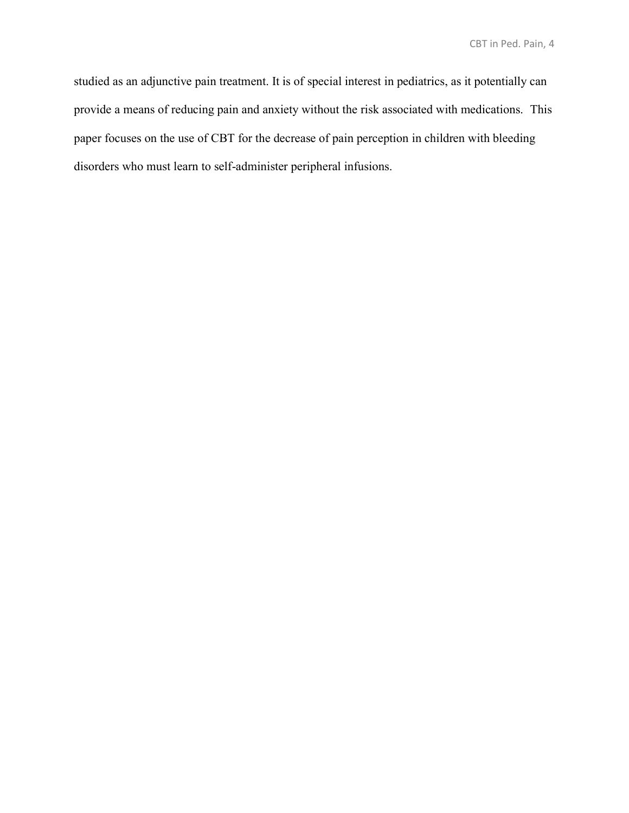studied as an adjunctive pain treatment. It is of special interest in pediatrics, as it potentially can provide a means of reducing pain and anxiety without the risk associated with medications. This paper focuses on the use of CBT for the decrease of pain perception in children with bleeding disorders who must learn to self-administer peripheral infusions.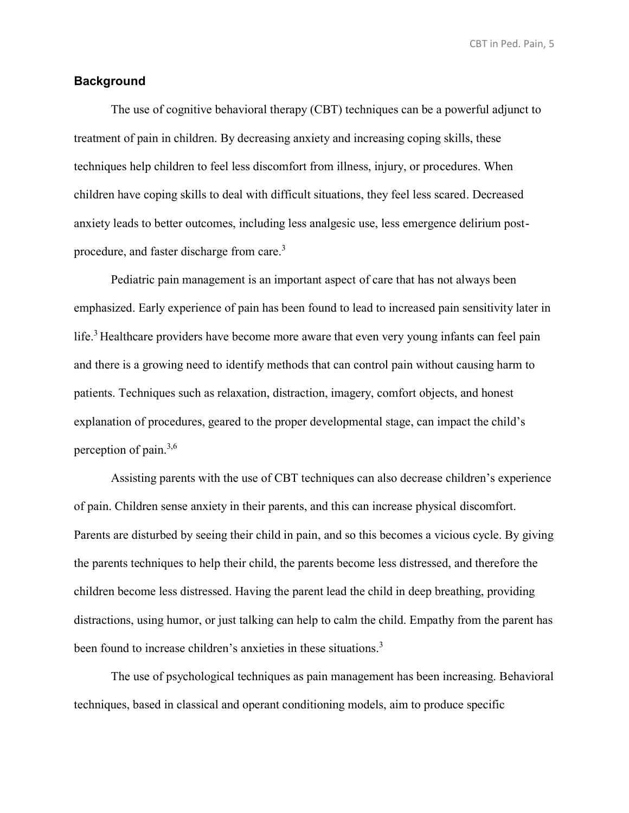#### **Background**

The use of cognitive behavioral therapy (CBT) techniques can be a powerful adjunct to treatment of pain in children. By decreasing anxiety and increasing coping skills, these techniques help children to feel less discomfort from illness, injury, or procedures. When children have coping skills to deal with difficult situations, they feel less scared. Decreased anxiety leads to better outcomes, including less analgesic use, less emergence delirium postprocedure, and faster discharge from care.<sup>3</sup>

Pediatric pain management is an important aspect of care that has not always been emphasized. Early experience of pain has been found to lead to increased pain sensitivity later in life.<sup>3</sup> Healthcare providers have become more aware that even very young infants can feel pain and there is a growing need to identify methods that can control pain without causing harm to patients. Techniques such as relaxation, distraction, imagery, comfort objects, and honest explanation of procedures, geared to the proper developmental stage, can impact the child's perception of pain.<sup>3,6</sup>

Assisting parents with the use of CBT techniques can also decrease children's experience of pain. Children sense anxiety in their parents, and this can increase physical discomfort. Parents are disturbed by seeing their child in pain, and so this becomes a vicious cycle. By giving the parents techniques to help their child, the parents become less distressed, and therefore the children become less distressed. Having the parent lead the child in deep breathing, providing distractions, using humor, or just talking can help to calm the child. Empathy from the parent has been found to increase children's anxieties in these situations.<sup>3</sup>

The use of psychological techniques as pain management has been increasing. Behavioral techniques, based in classical and operant conditioning models, aim to produce specific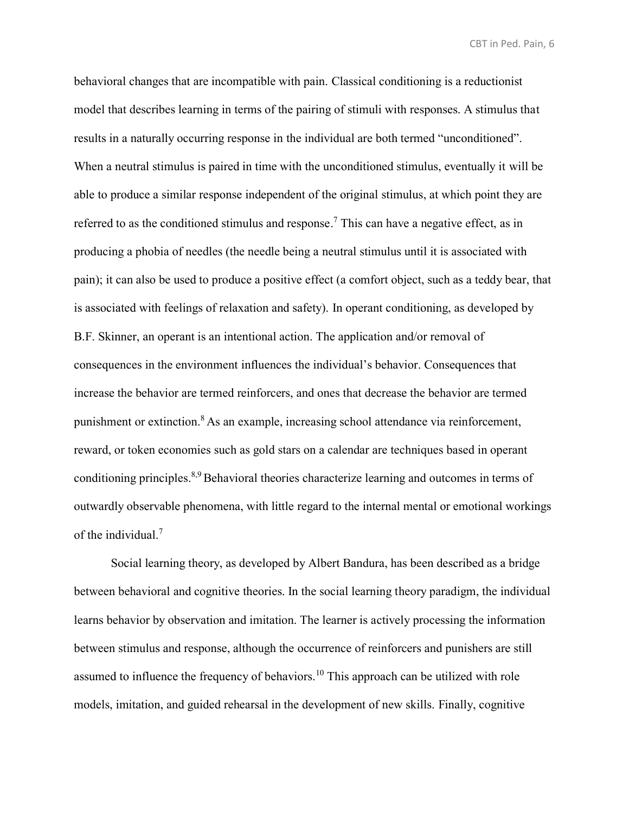behavioral changes that are incompatible with pain. Classical conditioning is a reductionist model that describes learning in terms of the pairing of stimuli with responses. A stimulus that results in a naturally occurring response in the individual are both termed "unconditioned". When a neutral stimulus is paired in time with the unconditioned stimulus, eventually it will be able to produce a similar response independent of the original stimulus, at which point they are referred to as the conditioned stimulus and response.<sup>7</sup> This can have a negative effect, as in producing a phobia of needles (the needle being a neutral stimulus until it is associated with pain); it can also be used to produce a positive effect (a comfort object, such as a teddy bear, that is associated with feelings of relaxation and safety). In operant conditioning, as developed by B.F. Skinner, an operant is an intentional action. The application and/or removal of consequences in the environment influences the individual's behavior. Consequences that increase the behavior are termed reinforcers, and ones that decrease the behavior are termed punishment or extinction. <sup>8</sup> As an example, increasing school attendance via reinforcement, reward, or token economies such as gold stars on a calendar are techniques based in operant conditioning principles.<sup>8,9</sup> Behavioral theories characterize learning and outcomes in terms of outwardly observable phenomena, with little regard to the internal mental or emotional workings of the individual.<sup>7</sup>

Social learning theory, as developed by Albert Bandura, has been described as a bridge between behavioral and cognitive theories. In the social learning theory paradigm, the individual learns behavior by observation and imitation. The learner is actively processing the information between stimulus and response, although the occurrence of reinforcers and punishers are still assumed to influence the frequency of behaviors.<sup>10</sup> This approach can be utilized with role models, imitation, and guided rehearsal in the development of new skills. Finally, cognitive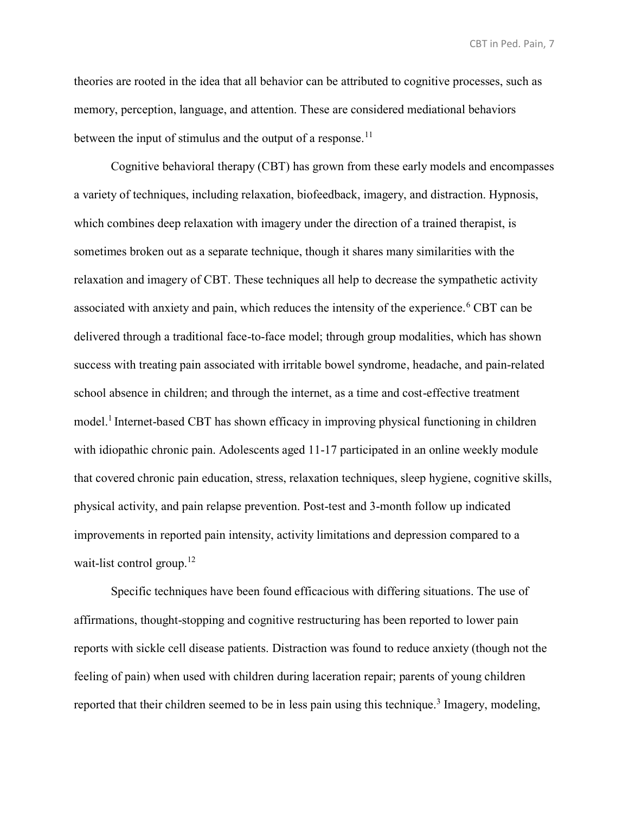theories are rooted in the idea that all behavior can be attributed to cognitive processes, such as memory, perception, language, and attention. These are considered mediational behaviors between the input of stimulus and the output of a response.<sup>11</sup>

Cognitive behavioral therapy (CBT) has grown from these early models and encompasses a variety of techniques, including relaxation, biofeedback, imagery, and distraction. Hypnosis, which combines deep relaxation with imagery under the direction of a trained therapist, is sometimes broken out as a separate technique, though it shares many similarities with the relaxation and imagery of CBT. These techniques all help to decrease the sympathetic activity associated with anxiety and pain, which reduces the intensity of the experience.<sup>6</sup> CBT can be delivered through a traditional face-to-face model; through group modalities, which has shown success with treating pain associated with irritable bowel syndrome, headache, and pain-related school absence in children; and through the internet, as a time and cost-effective treatment model.<sup>1</sup> Internet-based CBT has shown efficacy in improving physical functioning in children with idiopathic chronic pain. Adolescents aged 11-17 participated in an online weekly module that covered chronic pain education, stress, relaxation techniques, sleep hygiene, cognitive skills, physical activity, and pain relapse prevention. Post-test and 3-month follow up indicated improvements in reported pain intensity, activity limitations and depression compared to a wait-list control group.<sup>12</sup>

Specific techniques have been found efficacious with differing situations. The use of affirmations, thought-stopping and cognitive restructuring has been reported to lower pain reports with sickle cell disease patients. Distraction was found to reduce anxiety (though not the feeling of pain) when used with children during laceration repair; parents of young children reported that their children seemed to be in less pain using this technique.<sup>3</sup> Imagery, modeling,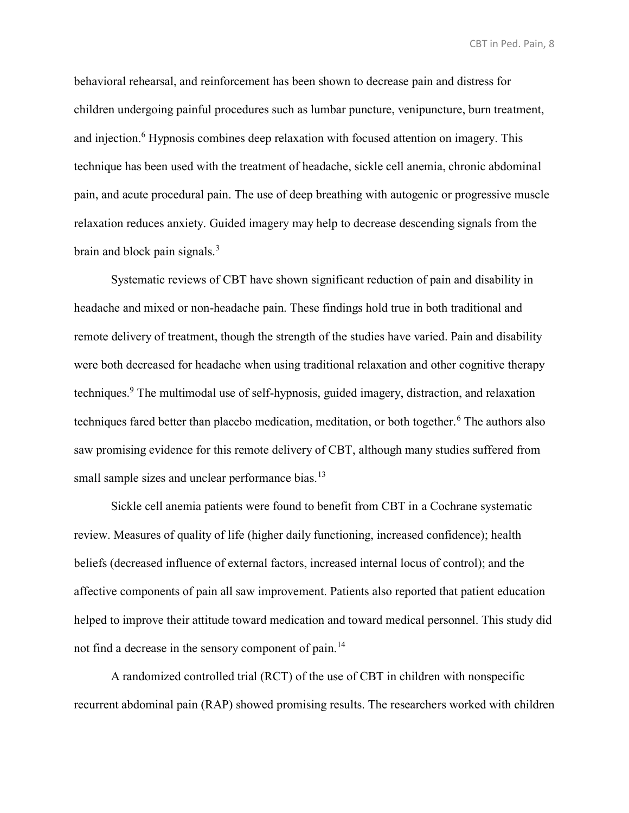behavioral rehearsal, and reinforcement has been shown to decrease pain and distress for children undergoing painful procedures such as lumbar puncture, venipuncture, burn treatment, and injection.<sup>6</sup> Hypnosis combines deep relaxation with focused attention on imagery. This technique has been used with the treatment of headache, sickle cell anemia, chronic abdominal pain, and acute procedural pain. The use of deep breathing with autogenic or progressive muscle relaxation reduces anxiety. Guided imagery may help to decrease descending signals from the brain and block pain signals.<sup>3</sup>

Systematic reviews of CBT have shown significant reduction of pain and disability in headache and mixed or non-headache pain. These findings hold true in both traditional and remote delivery of treatment, though the strength of the studies have varied. Pain and disability were both decreased for headache when using traditional relaxation and other cognitive therapy techniques.<sup>9</sup> The multimodal use of self-hypnosis, guided imagery, distraction, and relaxation techniques fared better than placebo medication, meditation, or both together.<sup>6</sup> The authors also saw promising evidence for this remote delivery of CBT, although many studies suffered from small sample sizes and unclear performance bias.<sup>13</sup>

Sickle cell anemia patients were found to benefit from CBT in a Cochrane systematic review. Measures of quality of life (higher daily functioning, increased confidence); health beliefs (decreased influence of external factors, increased internal locus of control); and the affective components of pain all saw improvement. Patients also reported that patient education helped to improve their attitude toward medication and toward medical personnel. This study did not find a decrease in the sensory component of pain.<sup>14</sup>

A randomized controlled trial (RCT) of the use of CBT in children with nonspecific recurrent abdominal pain (RAP) showed promising results. The researchers worked with children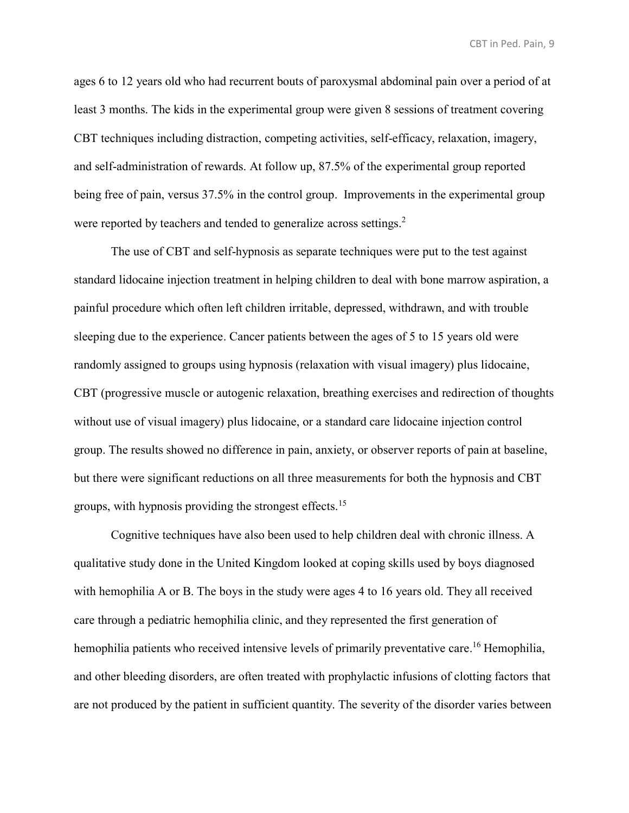ages 6 to 12 years old who had recurrent bouts of paroxysmal abdominal pain over a period of at least 3 months. The kids in the experimental group were given 8 sessions of treatment covering CBT techniques including distraction, competing activities, self-efficacy, relaxation, imagery, and self-administration of rewards. At follow up, 87.5% of the experimental group reported being free of pain, versus 37.5% in the control group. Improvements in the experimental group were reported by teachers and tended to generalize across settings.<sup>2</sup>

The use of CBT and self-hypnosis as separate techniques were put to the test against standard lidocaine injection treatment in helping children to deal with bone marrow aspiration, a painful procedure which often left children irritable, depressed, withdrawn, and with trouble sleeping due to the experience. Cancer patients between the ages of 5 to 15 years old were randomly assigned to groups using hypnosis (relaxation with visual imagery) plus lidocaine, CBT (progressive muscle or autogenic relaxation, breathing exercises and redirection of thoughts without use of visual imagery) plus lidocaine, or a standard care lidocaine injection control group. The results showed no difference in pain, anxiety, or observer reports of pain at baseline, but there were significant reductions on all three measurements for both the hypnosis and CBT groups, with hypnosis providing the strongest effects.<sup>15</sup>

Cognitive techniques have also been used to help children deal with chronic illness. A qualitative study done in the United Kingdom looked at coping skills used by boys diagnosed with hemophilia A or B. The boys in the study were ages 4 to 16 years old. They all received care through a pediatric hemophilia clinic, and they represented the first generation of hemophilia patients who received intensive levels of primarily preventative care.<sup>16</sup> Hemophilia, and other bleeding disorders, are often treated with prophylactic infusions of clotting factors that are not produced by the patient in sufficient quantity. The severity of the disorder varies between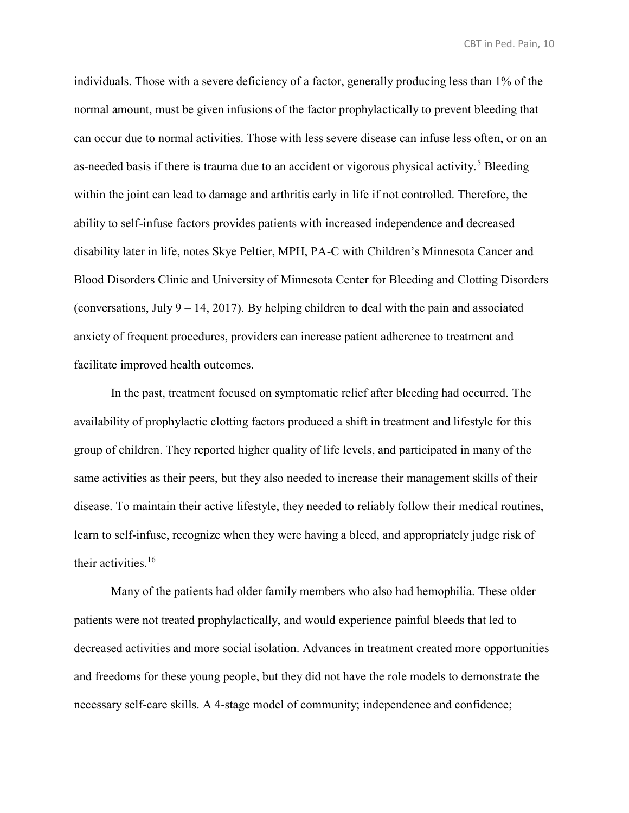individuals. Those with a severe deficiency of a factor, generally producing less than 1% of the normal amount, must be given infusions of the factor prophylactically to prevent bleeding that can occur due to normal activities. Those with less severe disease can infuse less often, or on an as-needed basis if there is trauma due to an accident or vigorous physical activity.<sup>5</sup> Bleeding within the joint can lead to damage and arthritis early in life if not controlled. Therefore, the ability to self-infuse factors provides patients with increased independence and decreased disability later in life, notes Skye Peltier, MPH, PA-C with Children's Minnesota Cancer and Blood Disorders Clinic and University of Minnesota Center for Bleeding and Clotting Disorders (conversations, July 9 – 14, 2017). By helping children to deal with the pain and associated anxiety of frequent procedures, providers can increase patient adherence to treatment and facilitate improved health outcomes.

In the past, treatment focused on symptomatic relief after bleeding had occurred. The availability of prophylactic clotting factors produced a shift in treatment and lifestyle for this group of children. They reported higher quality of life levels, and participated in many of the same activities as their peers, but they also needed to increase their management skills of their disease. To maintain their active lifestyle, they needed to reliably follow their medical routines, learn to self-infuse, recognize when they were having a bleed, and appropriately judge risk of their activities.<sup>16</sup>

Many of the patients had older family members who also had hemophilia. These older patients were not treated prophylactically, and would experience painful bleeds that led to decreased activities and more social isolation. Advances in treatment created more opportunities and freedoms for these young people, but they did not have the role models to demonstrate the necessary self-care skills. A 4-stage model of community; independence and confidence;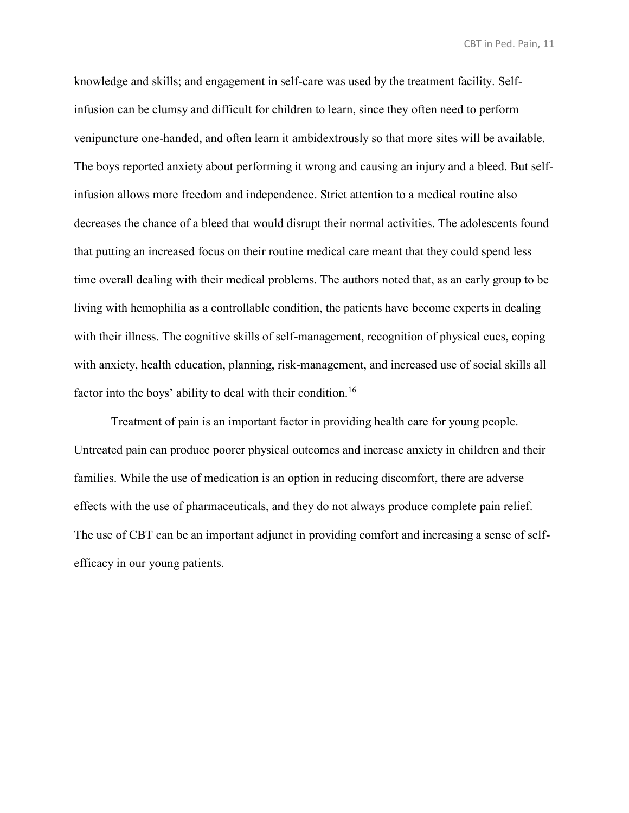knowledge and skills; and engagement in self-care was used by the treatment facility. Selfinfusion can be clumsy and difficult for children to learn, since they often need to perform venipuncture one-handed, and often learn it ambidextrously so that more sites will be available. The boys reported anxiety about performing it wrong and causing an injury and a bleed. But selfinfusion allows more freedom and independence. Strict attention to a medical routine also decreases the chance of a bleed that would disrupt their normal activities. The adolescents found that putting an increased focus on their routine medical care meant that they could spend less time overall dealing with their medical problems. The authors noted that, as an early group to be living with hemophilia as a controllable condition, the patients have become experts in dealing with their illness. The cognitive skills of self-management, recognition of physical cues, coping with anxiety, health education, planning, risk-management, and increased use of social skills all factor into the boys' ability to deal with their condition.<sup>16</sup>

Treatment of pain is an important factor in providing health care for young people. Untreated pain can produce poorer physical outcomes and increase anxiety in children and their families. While the use of medication is an option in reducing discomfort, there are adverse effects with the use of pharmaceuticals, and they do not always produce complete pain relief. The use of CBT can be an important adjunct in providing comfort and increasing a sense of selfefficacy in our young patients.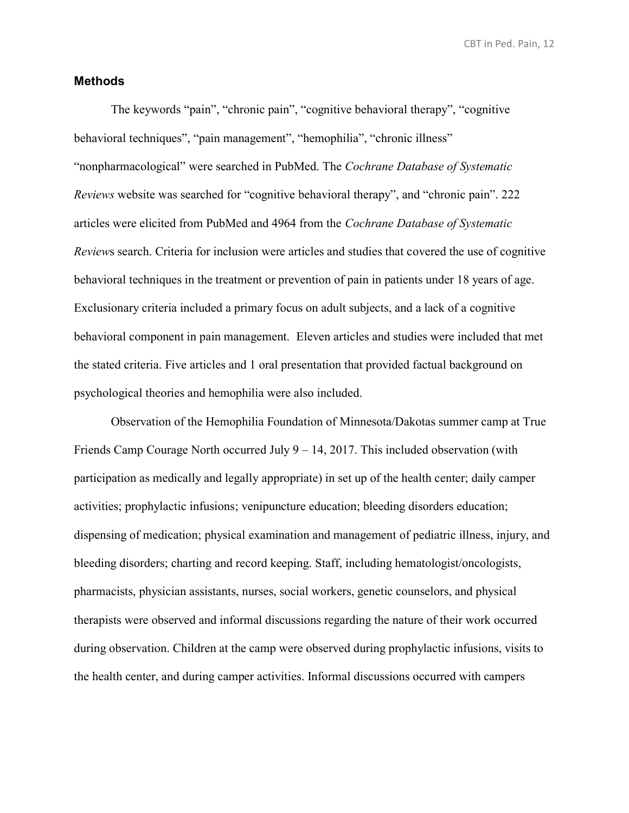#### **Methods**

The keywords "pain", "chronic pain", "cognitive behavioral therapy", "cognitive behavioral techniques", "pain management", "hemophilia", "chronic illness" "nonpharmacological" were searched in PubMed. The *Cochrane Database of Systematic Reviews* website was searched for "cognitive behavioral therapy", and "chronic pain". 222 articles were elicited from PubMed and 4964 from the *Cochrane Database of Systematic Review*s search. Criteria for inclusion were articles and studies that covered the use of cognitive behavioral techniques in the treatment or prevention of pain in patients under 18 years of age. Exclusionary criteria included a primary focus on adult subjects, and a lack of a cognitive behavioral component in pain management. Eleven articles and studies were included that met the stated criteria. Five articles and 1 oral presentation that provided factual background on psychological theories and hemophilia were also included.

Observation of the Hemophilia Foundation of Minnesota/Dakotas summer camp at True Friends Camp Courage North occurred July 9 – 14, 2017. This included observation (with participation as medically and legally appropriate) in set up of the health center; daily camper activities; prophylactic infusions; venipuncture education; bleeding disorders education; dispensing of medication; physical examination and management of pediatric illness, injury, and bleeding disorders; charting and record keeping. Staff, including hematologist/oncologists, pharmacists, physician assistants, nurses, social workers, genetic counselors, and physical therapists were observed and informal discussions regarding the nature of their work occurred during observation. Children at the camp were observed during prophylactic infusions, visits to the health center, and during camper activities. Informal discussions occurred with campers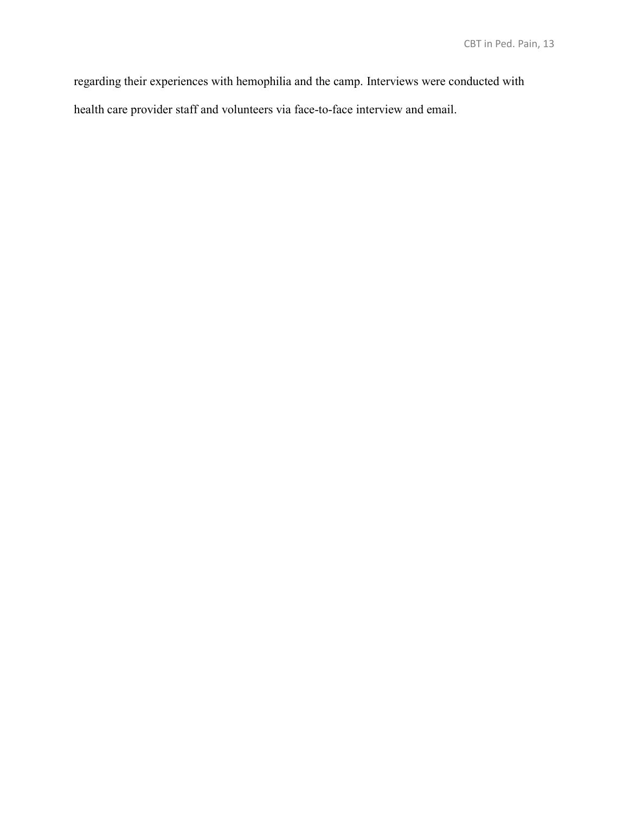regarding their experiences with hemophilia and the camp. Interviews were conducted with

health care provider staff and volunteers via face-to-face interview and email.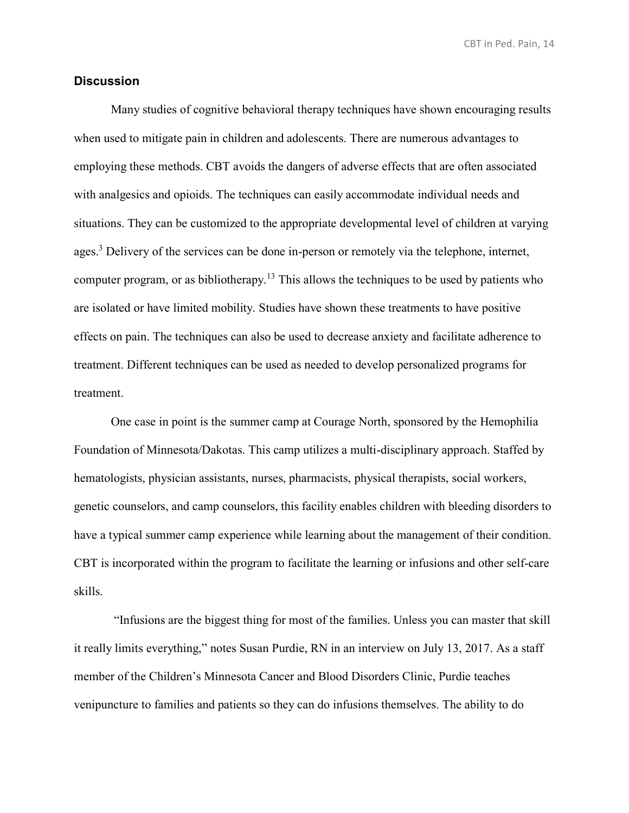#### **Discussion**

Many studies of cognitive behavioral therapy techniques have shown encouraging results when used to mitigate pain in children and adolescents. There are numerous advantages to employing these methods. CBT avoids the dangers of adverse effects that are often associated with analgesics and opioids. The techniques can easily accommodate individual needs and situations. They can be customized to the appropriate developmental level of children at varying ages.<sup>3</sup> Delivery of the services can be done in-person or remotely via the telephone, internet, computer program, or as bibliotherapy.<sup>13</sup> This allows the techniques to be used by patients who are isolated or have limited mobility. Studies have shown these treatments to have positive effects on pain. The techniques can also be used to decrease anxiety and facilitate adherence to treatment. Different techniques can be used as needed to develop personalized programs for treatment.

One case in point is the summer camp at Courage North, sponsored by the Hemophilia Foundation of Minnesota/Dakotas. This camp utilizes a multi-disciplinary approach. Staffed by hematologists, physician assistants, nurses, pharmacists, physical therapists, social workers, genetic counselors, and camp counselors, this facility enables children with bleeding disorders to have a typical summer camp experience while learning about the management of their condition. CBT is incorporated within the program to facilitate the learning or infusions and other self-care skills.

"Infusions are the biggest thing for most of the families. Unless you can master that skill it really limits everything," notes Susan Purdie, RN in an interview on July 13, 2017. As a staff member of the Children's Minnesota Cancer and Blood Disorders Clinic, Purdie teaches venipuncture to families and patients so they can do infusions themselves. The ability to do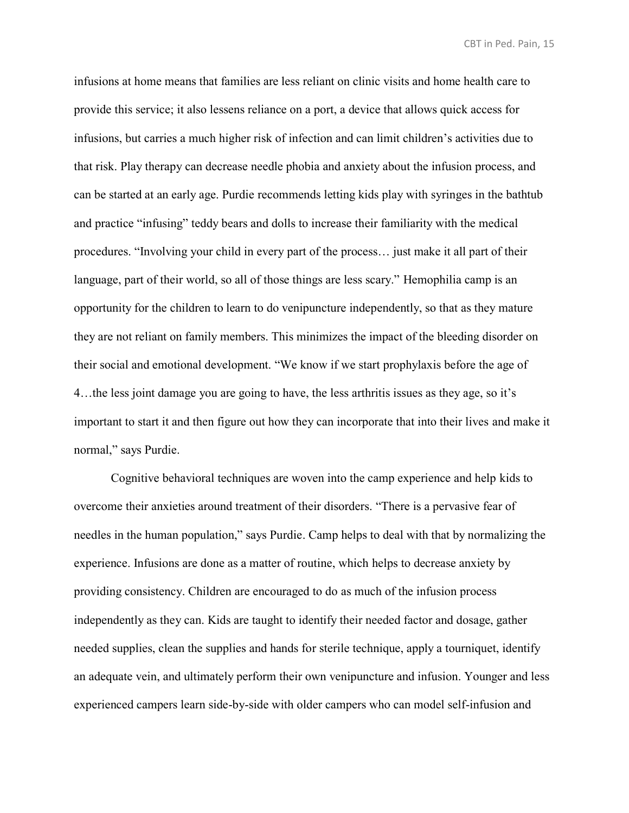infusions at home means that families are less reliant on clinic visits and home health care to provide this service; it also lessens reliance on a port, a device that allows quick access for infusions, but carries a much higher risk of infection and can limit children's activities due to that risk. Play therapy can decrease needle phobia and anxiety about the infusion process, and can be started at an early age. Purdie recommends letting kids play with syringes in the bathtub and practice "infusing" teddy bears and dolls to increase their familiarity with the medical procedures. "Involving your child in every part of the process… just make it all part of their language, part of their world, so all of those things are less scary." Hemophilia camp is an opportunity for the children to learn to do venipuncture independently, so that as they mature they are not reliant on family members. This minimizes the impact of the bleeding disorder on their social and emotional development. "We know if we start prophylaxis before the age of 4…the less joint damage you are going to have, the less arthritis issues as they age, so it's important to start it and then figure out how they can incorporate that into their lives and make it normal," says Purdie.

Cognitive behavioral techniques are woven into the camp experience and help kids to overcome their anxieties around treatment of their disorders. "There is a pervasive fear of needles in the human population," says Purdie. Camp helps to deal with that by normalizing the experience. Infusions are done as a matter of routine, which helps to decrease anxiety by providing consistency. Children are encouraged to do as much of the infusion process independently as they can. Kids are taught to identify their needed factor and dosage, gather needed supplies, clean the supplies and hands for sterile technique, apply a tourniquet, identify an adequate vein, and ultimately perform their own venipuncture and infusion. Younger and less experienced campers learn side-by-side with older campers who can model self-infusion and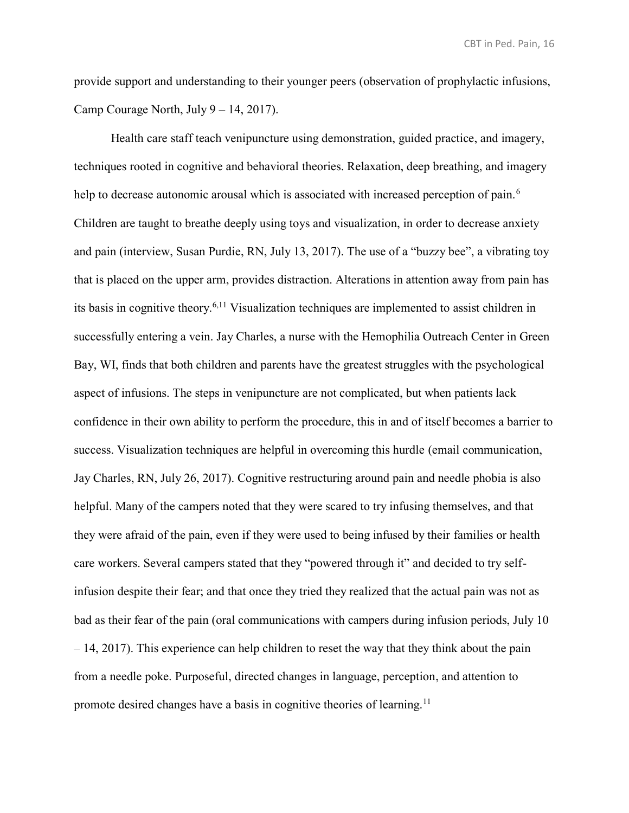provide support and understanding to their younger peers (observation of prophylactic infusions, Camp Courage North, July 9 – 14, 2017).

Health care staff teach venipuncture using demonstration, guided practice, and imagery, techniques rooted in cognitive and behavioral theories. Relaxation, deep breathing, and imagery help to decrease autonomic arousal which is associated with increased perception of pain.<sup>6</sup> Children are taught to breathe deeply using toys and visualization, in order to decrease anxiety and pain (interview, Susan Purdie, RN, July 13, 2017). The use of a "buzzy bee", a vibrating toy that is placed on the upper arm, provides distraction. Alterations in attention away from pain has its basis in cognitive theory.6,11 Visualization techniques are implemented to assist children in successfully entering a vein. Jay Charles, a nurse with the Hemophilia Outreach Center in Green Bay, WI, finds that both children and parents have the greatest struggles with the psychological aspect of infusions. The steps in venipuncture are not complicated, but when patients lack confidence in their own ability to perform the procedure, this in and of itself becomes a barrier to success. Visualization techniques are helpful in overcoming this hurdle (email communication, Jay Charles, RN, July 26, 2017). Cognitive restructuring around pain and needle phobia is also helpful. Many of the campers noted that they were scared to try infusing themselves, and that they were afraid of the pain, even if they were used to being infused by their families or health care workers. Several campers stated that they "powered through it" and decided to try selfinfusion despite their fear; and that once they tried they realized that the actual pain was not as bad as their fear of the pain (oral communications with campers during infusion periods, July 10 – 14, 2017). This experience can help children to reset the way that they think about the pain from a needle poke. Purposeful, directed changes in language, perception, and attention to promote desired changes have a basis in cognitive theories of learning.<sup>11</sup>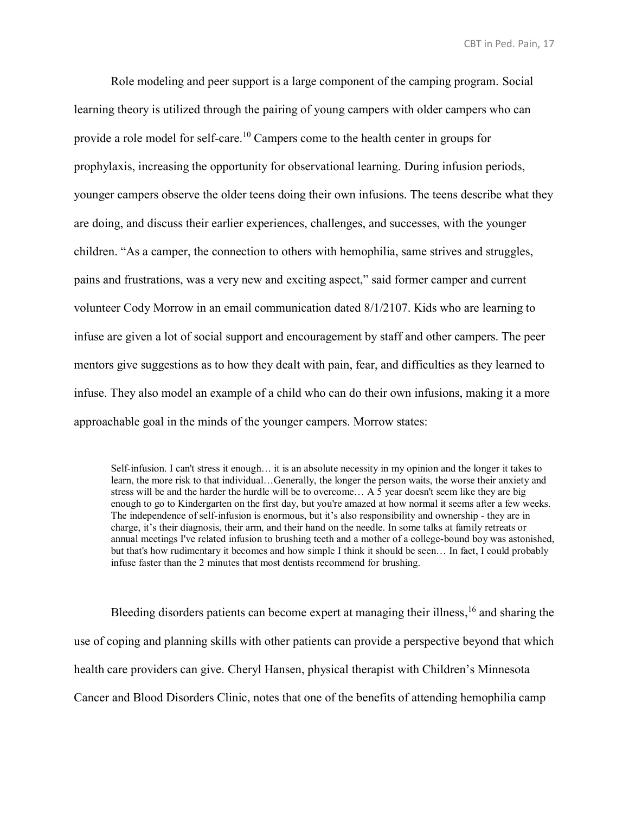Role modeling and peer support is a large component of the camping program. Social learning theory is utilized through the pairing of young campers with older campers who can provide a role model for self-care.<sup>10</sup> Campers come to the health center in groups for prophylaxis, increasing the opportunity for observational learning. During infusion periods, younger campers observe the older teens doing their own infusions. The teens describe what they are doing, and discuss their earlier experiences, challenges, and successes, with the younger children. "As a camper, the connection to others with hemophilia, same strives and struggles, pains and frustrations, was a very new and exciting aspect," said former camper and current volunteer Cody Morrow in an email communication dated 8/1/2107. Kids who are learning to infuse are given a lot of social support and encouragement by staff and other campers. The peer mentors give suggestions as to how they dealt with pain, fear, and difficulties as they learned to infuse. They also model an example of a child who can do their own infusions, making it a more approachable goal in the minds of the younger campers. Morrow states:

Self-infusion. I can't stress it enough… it is an absolute necessity in my opinion and the longer it takes to learn, the more risk to that individual…Generally, the longer the person waits, the worse their anxiety and stress will be and the harder the hurdle will be to overcome… A 5 year doesn't seem like they are big enough to go to Kindergarten on the first day, but you're amazed at how normal it seems after a few weeks. The independence of self-infusion is enormous, but it's also responsibility and ownership - they are in charge, it's their diagnosis, their arm, and their hand on the needle. In some talks at family retreats or annual meetings I've related infusion to brushing teeth and a mother of a college-bound boy was astonished, but that's how rudimentary it becomes and how simple I think it should be seen… In fact, I could probably infuse faster than the 2 minutes that most dentists recommend for brushing.

Bleeding disorders patients can become expert at managing their illness,<sup>16</sup> and sharing the use of coping and planning skills with other patients can provide a perspective beyond that which health care providers can give. Cheryl Hansen, physical therapist with Children's Minnesota Cancer and Blood Disorders Clinic, notes that one of the benefits of attending hemophilia camp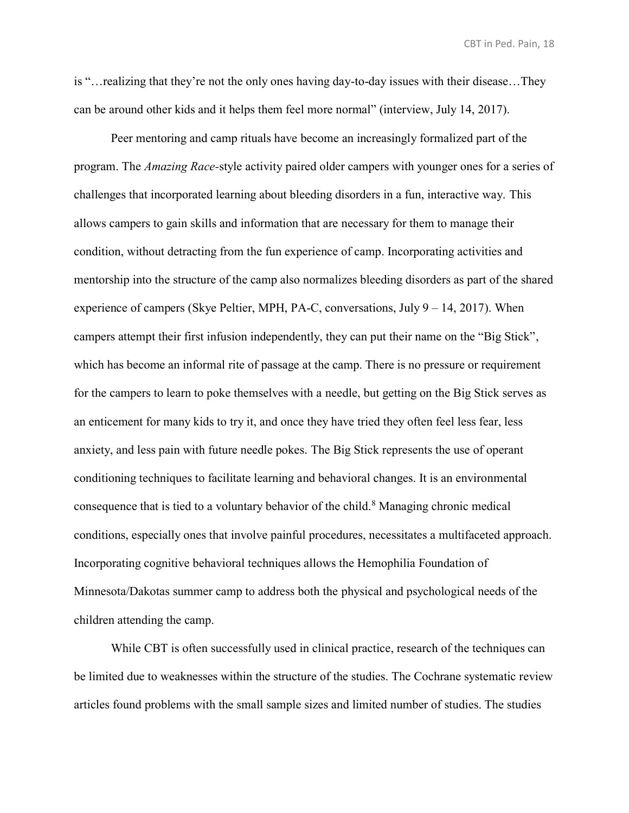is "…realizing that they're not the only ones having day-to-day issues with their disease…They can be around other kids and it helps them feel more normal" (interview, July 14, 2017).

Peer mentoring and camp rituals have become an increasingly formalized part of the program. The *Amazing Race-*style activity paired older campers with younger ones for a series of challenges that incorporated learning about bleeding disorders in a fun, interactive way. This allows campers to gain skills and information that are necessary for them to manage their condition, without detracting from the fun experience of camp. Incorporating activities and mentorship into the structure of the camp also normalizes bleeding disorders as part of the shared experience of campers (Skye Peltier, MPH, PA-C, conversations, July  $9 - 14$ , 2017). When campers attempt their first infusion independently, they can put their name on the "Big Stick", which has become an informal rite of passage at the camp. There is no pressure or requirement for the campers to learn to poke themselves with a needle, but getting on the Big Stick serves as an enticement for many kids to try it, and once they have tried they often feel less fear, less anxiety, and less pain with future needle pokes. The Big Stick represents the use of operant conditioning techniques to facilitate learning and behavioral changes. It is an environmental consequence that is tied to a voluntary behavior of the child.<sup>8</sup> Managing chronic medical conditions, especially ones that involve painful procedures, necessitates a multifaceted approach. Incorporating cognitive behavioral techniques allows the Hemophilia Foundation of Minnesota/Dakotas summer camp to address both the physical and psychological needs of the children attending the camp.

While CBT is often successfully used in clinical practice, research of the techniques can be limited due to weaknesses within the structure of the studies. The Cochrane systematic review articles found problems with the small sample sizes and limited number of studies. The studies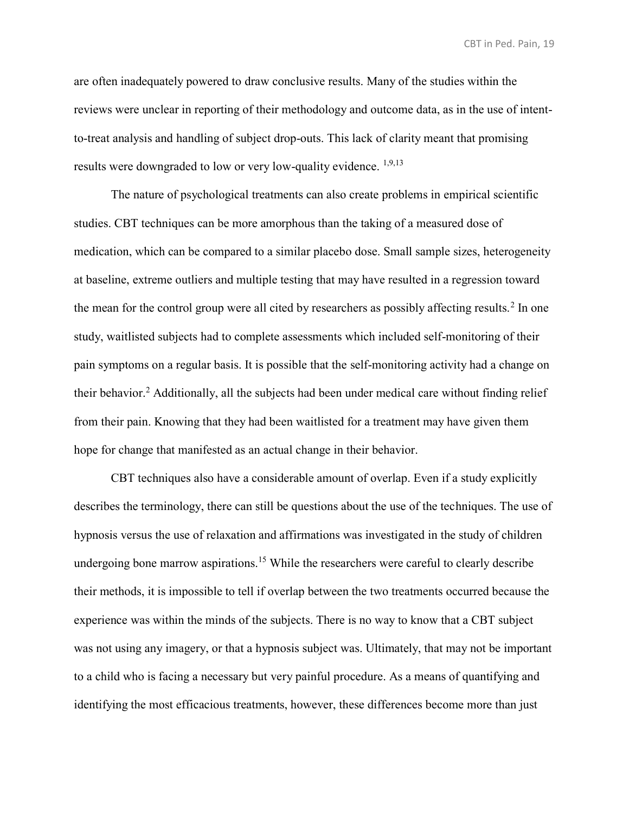are often inadequately powered to draw conclusive results. Many of the studies within the reviews were unclear in reporting of their methodology and outcome data, as in the use of intentto-treat analysis and handling of subject drop-outs. This lack of clarity meant that promising results were downgraded to low or very low-quality evidence. <sup>1,9,13</sup>

The nature of psychological treatments can also create problems in empirical scientific studies. CBT techniques can be more amorphous than the taking of a measured dose of medication, which can be compared to a similar placebo dose. Small sample sizes, heterogeneity at baseline, extreme outliers and multiple testing that may have resulted in a regression toward the mean for the control group were all cited by researchers as possibly affecting results.<sup>2</sup> In one study, waitlisted subjects had to complete assessments which included self-monitoring of their pain symptoms on a regular basis. It is possible that the self-monitoring activity had a change on their behavior.<sup>2</sup> Additionally, all the subjects had been under medical care without finding relief from their pain. Knowing that they had been waitlisted for a treatment may have given them hope for change that manifested as an actual change in their behavior.

CBT techniques also have a considerable amount of overlap. Even if a study explicitly describes the terminology, there can still be questions about the use of the techniques. The use of hypnosis versus the use of relaxation and affirmations was investigated in the study of children undergoing bone marrow aspirations.<sup>15</sup> While the researchers were careful to clearly describe their methods, it is impossible to tell if overlap between the two treatments occurred because the experience was within the minds of the subjects. There is no way to know that a CBT subject was not using any imagery, or that a hypnosis subject was. Ultimately, that may not be important to a child who is facing a necessary but very painful procedure. As a means of quantifying and identifying the most efficacious treatments, however, these differences become more than just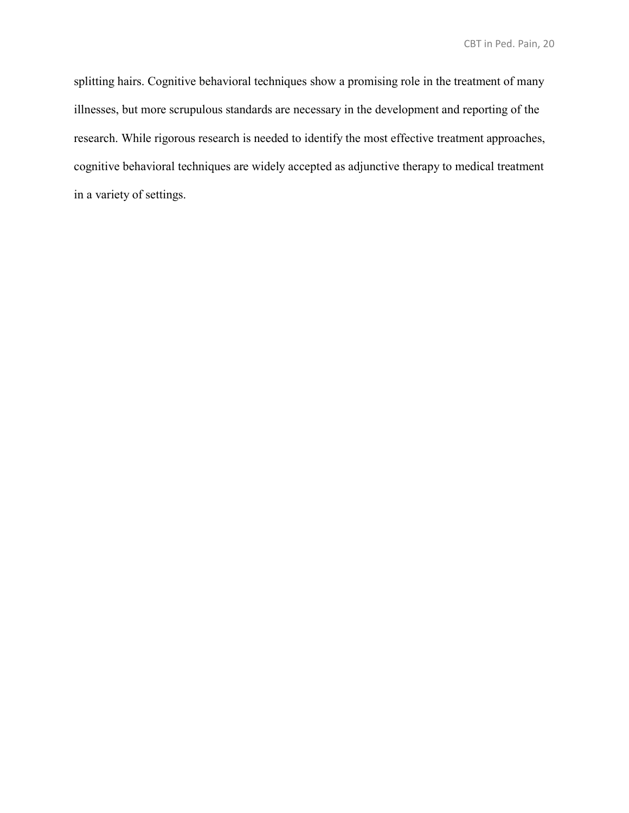splitting hairs. Cognitive behavioral techniques show a promising role in the treatment of many illnesses, but more scrupulous standards are necessary in the development and reporting of the research. While rigorous research is needed to identify the most effective treatment approaches, cognitive behavioral techniques are widely accepted as adjunctive therapy to medical treatment in a variety of settings.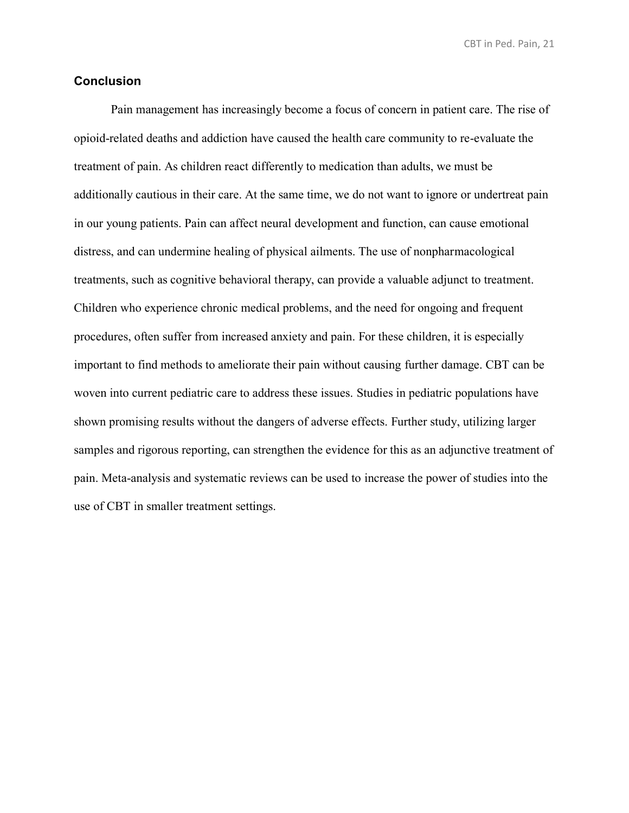#### **Conclusion**

Pain management has increasingly become a focus of concern in patient care. The rise of opioid-related deaths and addiction have caused the health care community to re-evaluate the treatment of pain. As children react differently to medication than adults, we must be additionally cautious in their care. At the same time, we do not want to ignore or undertreat pain in our young patients. Pain can affect neural development and function, can cause emotional distress, and can undermine healing of physical ailments. The use of nonpharmacological treatments, such as cognitive behavioral therapy, can provide a valuable adjunct to treatment. Children who experience chronic medical problems, and the need for ongoing and frequent procedures, often suffer from increased anxiety and pain. For these children, it is especially important to find methods to ameliorate their pain without causing further damage. CBT can be woven into current pediatric care to address these issues. Studies in pediatric populations have shown promising results without the dangers of adverse effects. Further study, utilizing larger samples and rigorous reporting, can strengthen the evidence for this as an adjunctive treatment of pain. Meta-analysis and systematic reviews can be used to increase the power of studies into the use of CBT in smaller treatment settings.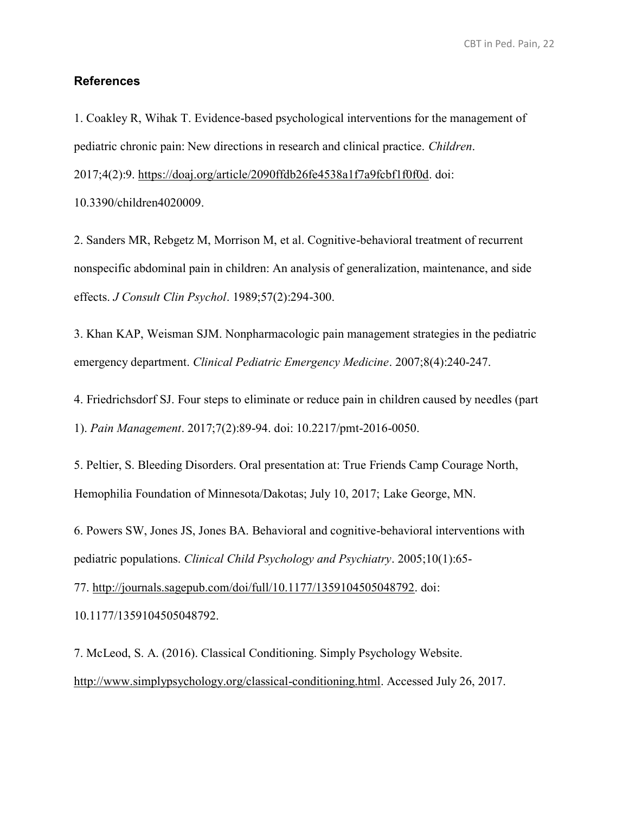#### **References**

1. Coakley R, Wihak T. Evidence-based psychological interventions for the management of pediatric chronic pain: New directions in research and clinical practice. *Children*.

2017;4(2):9. [https://doaj.org/article/2090ffdb26fe4538a1f7a9fcbf1f0f0d.](https://doaj.org/article/2090ffdb26fe4538a1f7a9fcbf1f0f0d) doi:

10.3390/children4020009.

2. Sanders MR, Rebgetz M, Morrison M, et al. Cognitive-behavioral treatment of recurrent nonspecific abdominal pain in children: An analysis of generalization, maintenance, and side effects. *J Consult Clin Psychol*. 1989;57(2):294-300.

3. Khan KAP, Weisman SJM. Nonpharmacologic pain management strategies in the pediatric emergency department. *Clinical Pediatric Emergency Medicine*. 2007;8(4):240-247.

4. Friedrichsdorf SJ. Four steps to eliminate or reduce pain in children caused by needles (part 1). *Pain Management*. 2017;7(2):89-94. doi: 10.2217/pmt-2016-0050.

5. Peltier, S. Bleeding Disorders. Oral presentation at: True Friends Camp Courage North, Hemophilia Foundation of Minnesota/Dakotas; July 10, 2017; Lake George, MN.

6. Powers SW, Jones JS, Jones BA. Behavioral and cognitive-behavioral interventions with pediatric populations. *Clinical Child Psychology and Psychiatry*. 2005;10(1):65-

77. [http://journals.sagepub.com/doi/full/10.1177/1359104505048792.](http://journals.sagepub.com/doi/full/10.1177/1359104505048792) doi:

10.1177/1359104505048792.

7. McLeod, S. A. (2016). Classical Conditioning. Simply Psychology Website. [http://www.simplypsychology.org/classical-conditioning.html.](http://www.simplypsychology.org/classical-conditioning.html) Accessed July 26, 2017.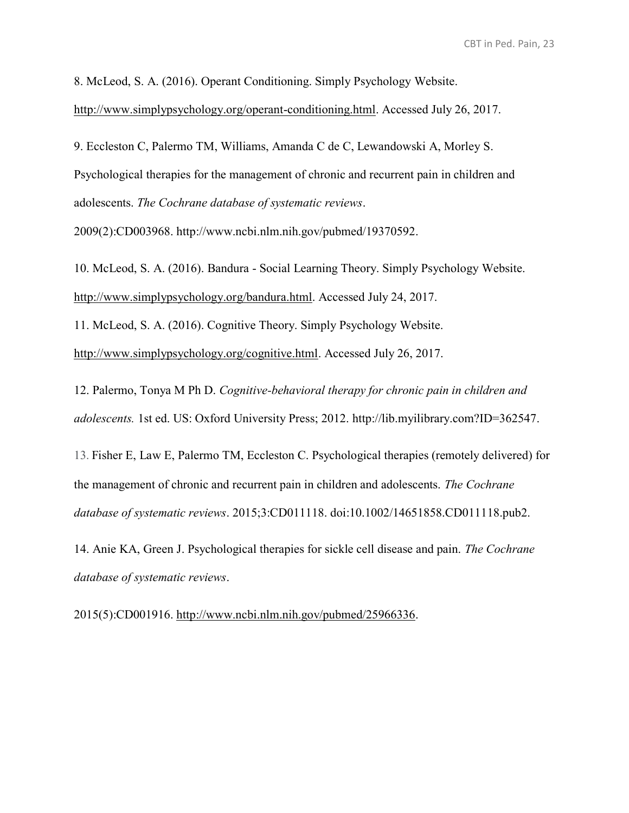8. McLeod, S. A. (2016). Operant Conditioning. Simply Psychology Website.

[http://www.simplypsychology.org/operant-conditioning.html.](http://www.simplypsychology.org/operant-conditioning.html) Accessed July 26, 2017.

9. Eccleston C, Palermo TM, Williams, Amanda C de C, Lewandowski A, Morley S. Psychological therapies for the management of chronic and recurrent pain in children and adolescents. *The Cochrane database of systematic reviews*.

2009(2):CD003968. [http://www.ncbi.nlm.nih.gov/pubmed/19370592.](http://www.ncbi.nlm.nih.gov/pubmed/19370592)

10. McLeod, S. A. (2016). Bandura - Social Learning Theory. Simply Psychology Website. [http://www.simplypsychology.org/bandura.html.](http://www.simplypsychology.org/bandura.html) Accessed July 24, 2017.

11. McLeod, S. A. (2016). Cognitive Theory. Simply Psychology Website.

[http://www.simplypsychology.org/cognitive.html.](http://www.simplypsychology.org/cognitive.html) Accessed July 26, 2017.

12. Palermo, Tonya M Ph D. *Cognitive-behavioral therapy for chronic pain in children and adolescents.* 1st ed. US: Oxford University Press; 2012. [http://lib.myilibrary.com?ID=362547.](http://lib.myilibrary.com/?ID=362547)

13. Fisher E, Law E, Palermo TM, Eccleston C. Psychological therapies (remotely delivered) for the management of chronic and recurrent pain in children and adolescents. *The Cochrane database of systematic reviews*. 2015;3:CD011118. doi:10.1002/14651858.CD011118.pub2.

14. Anie KA, Green J. Psychological therapies for sickle cell disease and pain. *The Cochrane database of systematic reviews*.

2015(5):CD001916. [http://www.ncbi.nlm.nih.gov/pubmed/25966336.](http://www.ncbi.nlm.nih.gov/pubmed/25966336)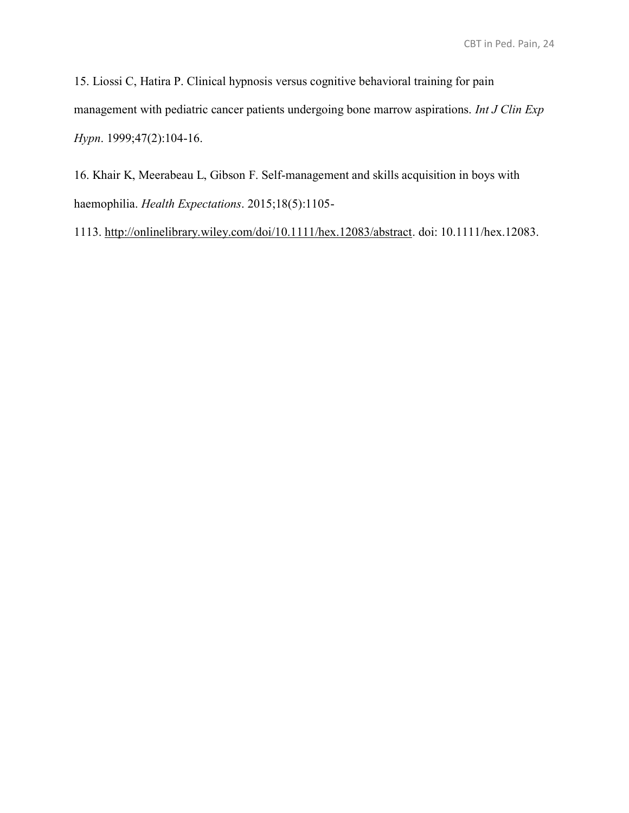15. Liossi C, Hatira P. Clinical hypnosis versus cognitive behavioral training for pain management with pediatric cancer patients undergoing bone marrow aspirations. *Int J Clin Exp Hypn*. 1999;47(2):104-16.

16. Khair K, Meerabeau L, Gibson F. Self‐management and skills acquisition in boys with haemophilia. *Health Expectations*. 2015;18(5):1105-

1113. [http://onlinelibrary.wiley.com/doi/10.1111/hex.12083/abstract.](http://onlinelibrary.wiley.com/doi/10.1111/hex.12083/abstract) doi: 10.1111/hex.12083.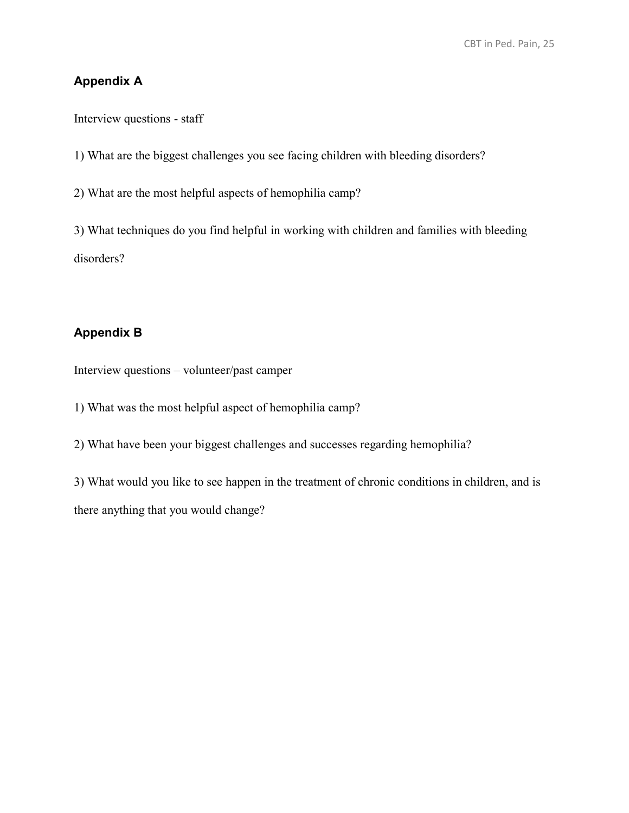# **Appendix A**

Interview questions - staff

1) What are the biggest challenges you see facing children with bleeding disorders?

2) What are the most helpful aspects of hemophilia camp?

3) What techniques do you find helpful in working with children and families with bleeding disorders?

## **Appendix B**

Interview questions – volunteer/past camper

1) What was the most helpful aspect of hemophilia camp?

2) What have been your biggest challenges and successes regarding hemophilia?

3) What would you like to see happen in the treatment of chronic conditions in children, and is there anything that you would change?